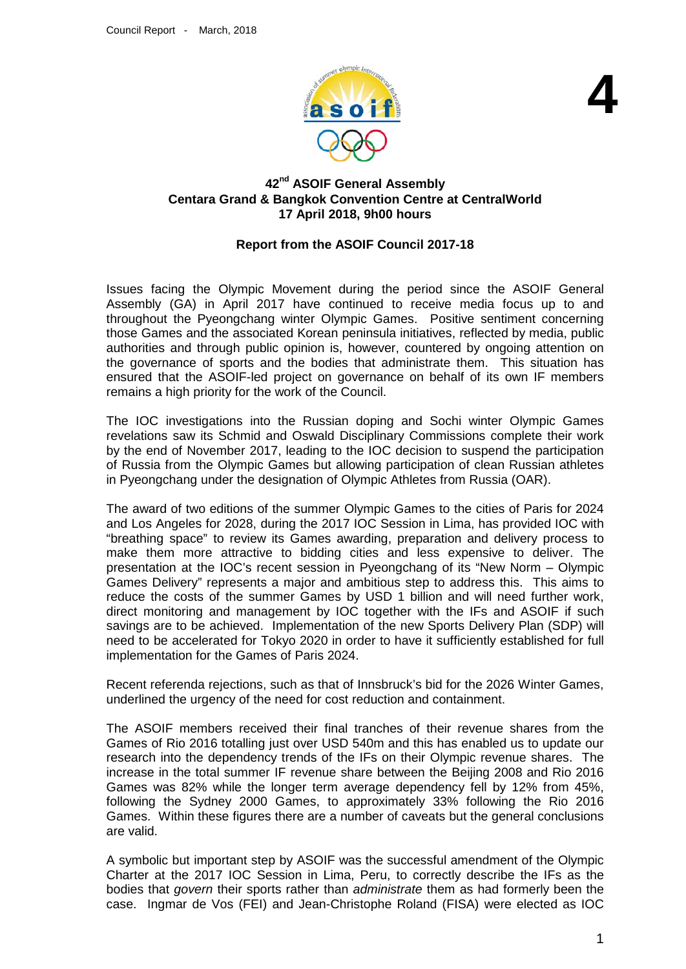

## **42nd ASOIF General Assembly Centara Grand & Bangkok Convention Centre at CentralWorld 17 April 2018, 9h00 hours**

## **Report from the ASOIF Council 2017-18**

Issues facing the Olympic Movement during the period since the ASOIF General Assembly (GA) in April 2017 have continued to receive media focus up to and throughout the Pyeongchang winter Olympic Games. Positive sentiment concerning those Games and the associated Korean peninsula initiatives, reflected by media, public authorities and through public opinion is, however, countered by ongoing attention on the governance of sports and the bodies that administrate them. This situation has ensured that the ASOIF-led project on governance on behalf of its own IF members remains a high priority for the work of the Council.

The IOC investigations into the Russian doping and Sochi winter Olympic Games revelations saw its Schmid and Oswald Disciplinary Commissions complete their work by the end of November 2017, leading to the IOC decision to suspend the participation of Russia from the Olympic Games but allowing participation of clean Russian athletes in Pyeongchang under the designation of Olympic Athletes from Russia (OAR).

The award of two editions of the summer Olympic Games to the cities of Paris for 2024 and Los Angeles for 2028, during the 2017 IOC Session in Lima, has provided IOC with "breathing space" to review its Games awarding, preparation and delivery process to make them more attractive to bidding cities and less expensive to deliver. The presentation at the IOC's recent session in Pyeongchang of its "New Norm – Olympic Games Delivery" represents a major and ambitious step to address this. This aims to reduce the costs of the summer Games by USD 1 billion and will need further work, direct monitoring and management by IOC together with the IFs and ASOIF if such savings are to be achieved. Implementation of the new Sports Delivery Plan (SDP) will need to be accelerated for Tokyo 2020 in order to have it sufficiently established for full implementation for the Games of Paris 2024.

Recent referenda rejections, such as that of Innsbruck's bid for the 2026 Winter Games, underlined the urgency of the need for cost reduction and containment.

The ASOIF members received their final tranches of their revenue shares from the Games of Rio 2016 totalling just over USD 540m and this has enabled us to update our research into the dependency trends of the IFs on their Olympic revenue shares. The increase in the total summer IF revenue share between the Beijing 2008 and Rio 2016 Games was 82% while the longer term average dependency fell by 12% from 45%, following the Sydney 2000 Games, to approximately 33% following the Rio 2016 Games. Within these figures there are a number of caveats but the general conclusions are valid.

A symbolic but important step by ASOIF was the successful amendment of the Olympic Charter at the 2017 IOC Session in Lima, Peru, to correctly describe the IFs as the bodies that *govern* their sports rather than *administrate* them as had formerly been the case. Ingmar de Vos (FEI) and Jean-Christophe Roland (FISA) were elected as IOC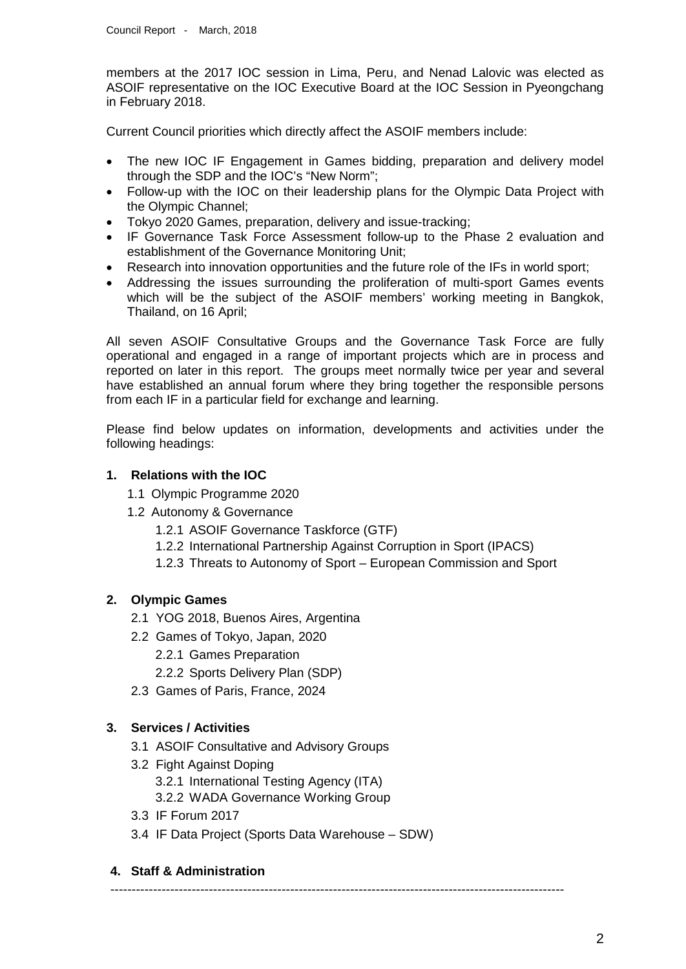members at the 2017 IOC session in Lima, Peru, and Nenad Lalovic was elected as ASOIF representative on the IOC Executive Board at the IOC Session in Pyeongchang in February 2018.

Current Council priorities which directly affect the ASOIF members include:

- The new IOC IF Engagement in Games bidding, preparation and delivery model through the SDP and the IOC's "New Norm";
- Follow-up with the IOC on their leadership plans for the Olympic Data Project with the Olympic Channel;
- Tokyo 2020 Games, preparation, delivery and issue-tracking;
- IF Governance Task Force Assessment follow-up to the Phase 2 evaluation and establishment of the Governance Monitoring Unit;
- Research into innovation opportunities and the future role of the IFs in world sport;
- Addressing the issues surrounding the proliferation of multi-sport Games events which will be the subject of the ASOIF members' working meeting in Bangkok, Thailand, on 16 April;

All seven ASOIF Consultative Groups and the Governance Task Force are fully operational and engaged in a range of important projects which are in process and reported on later in this report. The groups meet normally twice per year and several have established an annual forum where they bring together the responsible persons from each IF in a particular field for exchange and learning.

Please find below updates on information, developments and activities under the following headings:

#### **1. Relations with the IOC**

- 1.1 Olympic Programme 2020
- 1.2 Autonomy & Governance
	- 1.2.1 ASOIF Governance Taskforce (GTF)
	- 1.2.2 International Partnership Against Corruption in Sport (IPACS)
	- 1.2.3 Threats to Autonomy of Sport European Commission and Sport

## **2. Olympic Games**

- 2.1 YOG 2018, Buenos Aires, Argentina
- 2.2 Games of Tokyo, Japan, 2020
	- 2.2.1 Games Preparation
	- 2.2.2 Sports Delivery Plan (SDP)
- 2.3 Games of Paris, France, 2024

## **3. Services / Activities**

- 3.1 ASOIF Consultative and Advisory Groups
- 3.2 Fight Against Doping 3.2.1 International Testing Agency (ITA) 3.2.2 WADA Governance Working Group
- 3.3 IF Forum 2017
- 3.4 IF Data Project (Sports Data Warehouse SDW)

#### **4. Staff & Administration**

----------------------------------------------------------------------------------------------------------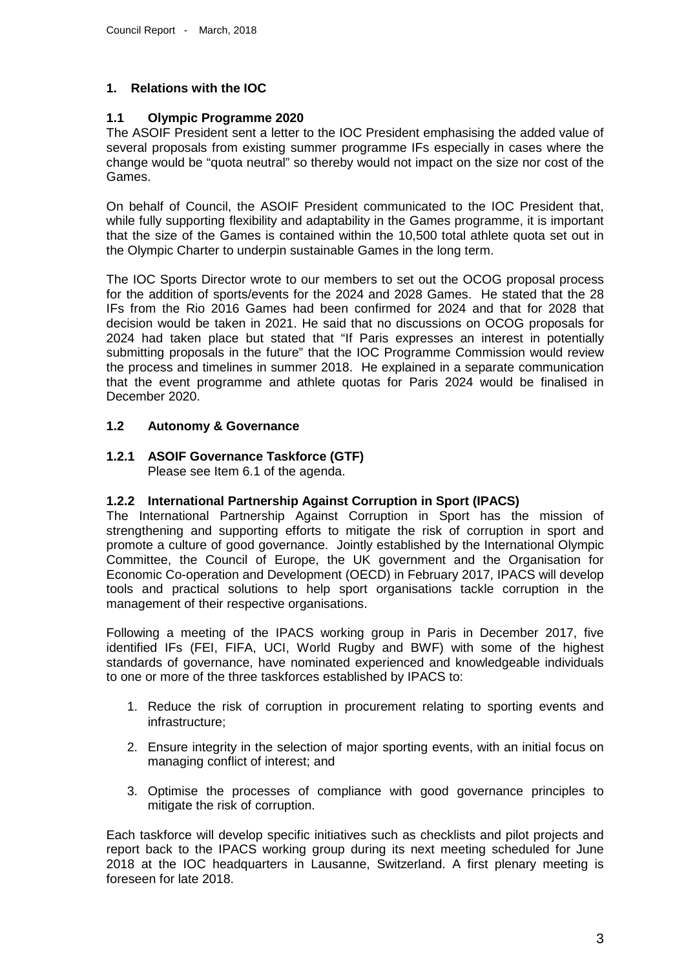## **1. Relations with the IOC**

## **1.1 Olympic Programme 2020**

The ASOIF President sent a letter to the IOC President emphasising the added value of several proposals from existing summer programme IFs especially in cases where the change would be "quota neutral" so thereby would not impact on the size nor cost of the Games.

On behalf of Council, the ASOIF President communicated to the IOC President that, while fully supporting flexibility and adaptability in the Games programme, it is important that the size of the Games is contained within the 10,500 total athlete quota set out in the Olympic Charter to underpin sustainable Games in the long term.

The IOC Sports Director wrote to our members to set out the OCOG proposal process for the addition of sports/events for the 2024 and 2028 Games. He stated that the 28 IFs from the Rio 2016 Games had been confirmed for 2024 and that for 2028 that decision would be taken in 2021. He said that no discussions on OCOG proposals for 2024 had taken place but stated that "If Paris expresses an interest in potentially submitting proposals in the future" that the IOC Programme Commission would review the process and timelines in summer 2018. He explained in a separate communication that the event programme and athlete quotas for Paris 2024 would be finalised in December 2020.

## **1.2 Autonomy & Governance**

# **1.2.1 ASOIF Governance Taskforce (GTF)**

Please see Item 6.1 of the agenda.

## **1.2.2 International Partnership Against Corruption in Sport (IPACS)**

The International Partnership Against Corruption in Sport has the mission of strengthening and supporting efforts to mitigate the risk of corruption in sport and promote a culture of good governance. Jointly established by the International Olympic Committee, the Council of Europe, the UK government and the Organisation for Economic Co-operation and Development (OECD) in February 2017, IPACS will develop tools and practical solutions to help sport organisations tackle corruption in the management of their respective organisations.

Following a meeting of the IPACS working group in Paris in December 2017, five identified IFs (FEI, FIFA, UCI, World Rugby and BWF) with some of the highest standards of governance, have nominated experienced and knowledgeable individuals to one or more of the three taskforces established by IPACS to:

- 1. Reduce the risk of corruption in procurement relating to sporting events and infrastructure;
- 2. Ensure integrity in the selection of major sporting events, with an initial focus on managing conflict of interest; and
- 3. Optimise the processes of compliance with good governance principles to mitigate the risk of corruption.

Each taskforce will develop specific initiatives such as checklists and pilot projects and report back to the IPACS working group during its next meeting scheduled for June 2018 at the IOC headquarters in Lausanne, Switzerland. A first plenary meeting is foreseen for late 2018.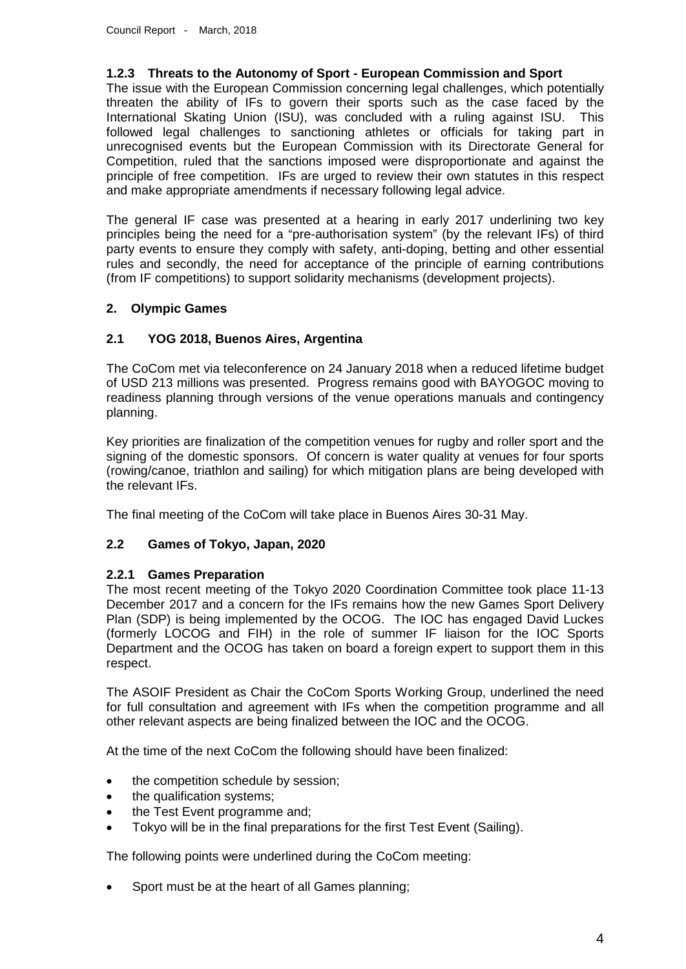## **1.2.3 Threats to the Autonomy of Sport - European Commission and Sport**

The issue with the European Commission concerning legal challenges, which potentially threaten the ability of IFs to govern their sports such as the case faced by the International Skating Union (ISU), was concluded with a ruling against ISU. This followed legal challenges to sanctioning athletes or officials for taking part in unrecognised events but the European Commission with its Directorate General for Competition, ruled that the sanctions imposed were disproportionate and against the principle of free competition. IFs are urged to review their own statutes in this respect and make appropriate amendments if necessary following legal advice.

The general IF case was presented at a hearing in early 2017 underlining two key principles being the need for a "pre-authorisation system" (by the relevant IFs) of third party events to ensure they comply with safety, anti-doping, betting and other essential rules and secondly, the need for acceptance of the principle of earning contributions (from IF competitions) to support solidarity mechanisms (development projects).

## **2. Olympic Games**

#### **2.1 YOG 2018, Buenos Aires, Argentina**

The CoCom met via teleconference on 24 January 2018 when a reduced lifetime budget of USD 213 millions was presented. Progress remains good with BAYOGOC moving to readiness planning through versions of the venue operations manuals and contingency planning.

Key priorities are finalization of the competition venues for rugby and roller sport and the signing of the domestic sponsors. Of concern is water quality at venues for four sports (rowing/canoe, triathlon and sailing) for which mitigation plans are being developed with the relevant IFs.

The final meeting of the CoCom will take place in Buenos Aires 30-31 May.

## **2.2 Games of Tokyo, Japan, 2020**

#### **2.2.1 Games Preparation**

The most recent meeting of the Tokyo 2020 Coordination Committee took place 11-13 December 2017 and a concern for the IFs remains how the new Games Sport Delivery Plan (SDP) is being implemented by the OCOG. The IOC has engaged David Luckes (formerly LOCOG and FIH) in the role of summer IF liaison for the IOC Sports Department and the OCOG has taken on board a foreign expert to support them in this respect.

The ASOIF President as Chair the CoCom Sports Working Group, underlined the need for full consultation and agreement with IFs when the competition programme and all other relevant aspects are being finalized between the IOC and the OCOG.

At the time of the next CoCom the following should have been finalized:

- the competition schedule by session;
- the qualification systems;
- the Test Event programme and;
- Tokyo will be in the final preparations for the first Test Event (Sailing).

The following points were underlined during the CoCom meeting:

• Sport must be at the heart of all Games planning;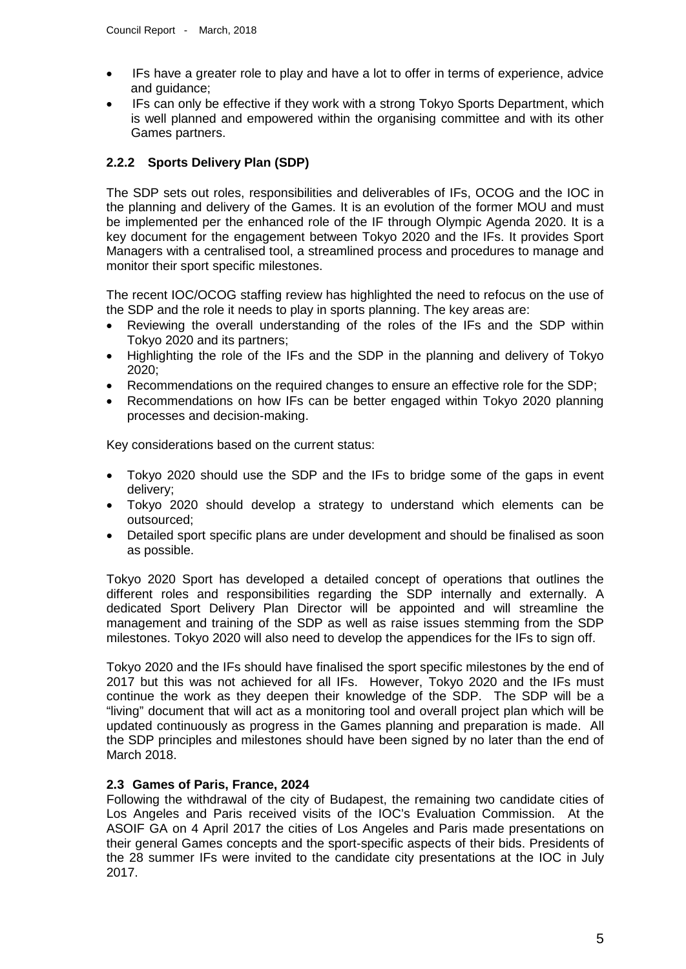- IFs have a greater role to play and have a lot to offer in terms of experience, advice and guidance;
- IFs can only be effective if they work with a strong Tokyo Sports Department, which is well planned and empowered within the organising committee and with its other Games partners.

# **2.2.2 Sports Delivery Plan (SDP)**

The SDP sets out roles, responsibilities and deliverables of IFs, OCOG and the IOC in the planning and delivery of the Games. It is an evolution of the former MOU and must be implemented per the enhanced role of the IF through Olympic Agenda 2020. It is a key document for the engagement between Tokyo 2020 and the IFs. It provides Sport Managers with a centralised tool, a streamlined process and procedures to manage and monitor their sport specific milestones.

The recent IOC/OCOG staffing review has highlighted the need to refocus on the use of the SDP and the role it needs to play in sports planning. The key areas are:

- Reviewing the overall understanding of the roles of the IFs and the SDP within Tokyo 2020 and its partners;
- Highlighting the role of the IFs and the SDP in the planning and delivery of Tokyo 2020;
- Recommendations on the required changes to ensure an effective role for the SDP;
- Recommendations on how IFs can be better engaged within Tokyo 2020 planning processes and decision-making.

Key considerations based on the current status:

- Tokyo 2020 should use the SDP and the IFs to bridge some of the gaps in event delivery;
- Tokyo 2020 should develop a strategy to understand which elements can be outsourced;
- Detailed sport specific plans are under development and should be finalised as soon as possible.

Tokyo 2020 Sport has developed a detailed concept of operations that outlines the different roles and responsibilities regarding the SDP internally and externally. A dedicated Sport Delivery Plan Director will be appointed and will streamline the management and training of the SDP as well as raise issues stemming from the SDP milestones. Tokyo 2020 will also need to develop the appendices for the IFs to sign off.

Tokyo 2020 and the IFs should have finalised the sport specific milestones by the end of 2017 but this was not achieved for all IFs. However, Tokyo 2020 and the IFs must continue the work as they deepen their knowledge of the SDP. The SDP will be a "living" document that will act as a monitoring tool and overall project plan which will be updated continuously as progress in the Games planning and preparation is made. All the SDP principles and milestones should have been signed by no later than the end of March 2018.

## **2.3 Games of Paris, France, 2024**

Following the withdrawal of the city of Budapest, the remaining two candidate cities of Los Angeles and Paris received visits of the IOC's Evaluation Commission. At the ASOIF GA on 4 April 2017 the cities of Los Angeles and Paris made presentations on their general Games concepts and the sport-specific aspects of their bids. Presidents of the 28 summer IFs were invited to the candidate city presentations at the IOC in July 2017.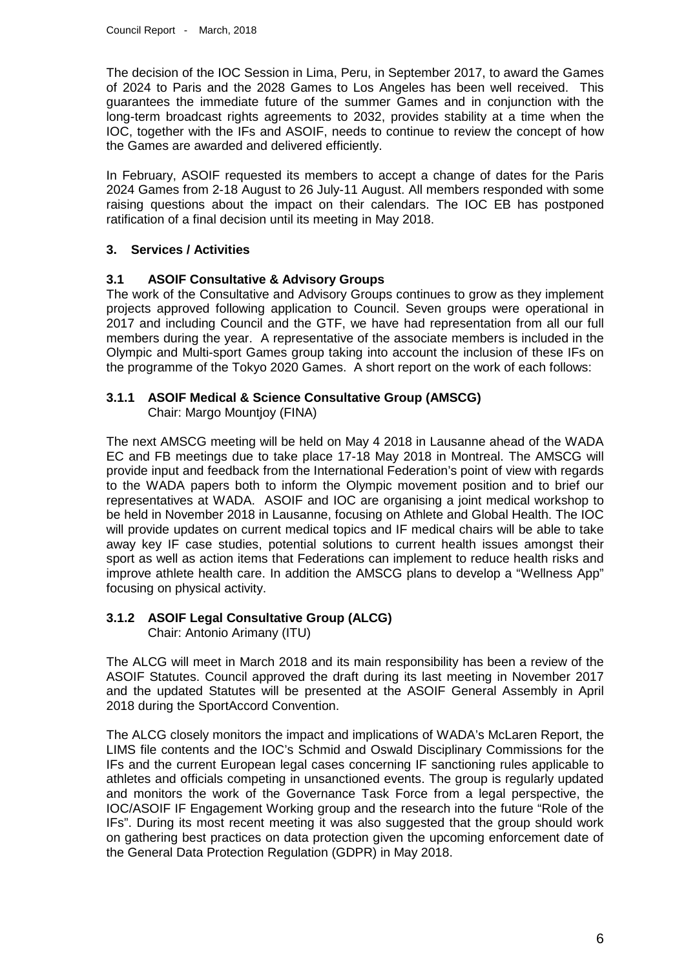The decision of the IOC Session in Lima, Peru, in September 2017, to award the Games of 2024 to Paris and the 2028 Games to Los Angeles has been well received. This guarantees the immediate future of the summer Games and in conjunction with the long-term broadcast rights agreements to 2032, provides stability at a time when the IOC, together with the IFs and ASOIF, needs to continue to review the concept of how the Games are awarded and delivered efficiently.

In February, ASOIF requested its members to accept a change of dates for the Paris 2024 Games from 2-18 August to 26 July-11 August. All members responded with some raising questions about the impact on their calendars. The IOC EB has postponed ratification of a final decision until its meeting in May 2018.

## **3. Services / Activities**

## **3.1 ASOIF Consultative & Advisory Groups**

The work of the Consultative and Advisory Groups continues to grow as they implement projects approved following application to Council. Seven groups were operational in 2017 and including Council and the GTF, we have had representation from all our full members during the year. A representative of the associate members is included in the Olympic and Multi-sport Games group taking into account the inclusion of these IFs on the programme of the Tokyo 2020 Games. A short report on the work of each follows:

# **3.1.1 ASOIF Medical & Science Consultative Group (AMSCG)**

Chair: Margo Mountjoy (FINA)

The next AMSCG meeting will be held on May 4 2018 in Lausanne ahead of the WADA EC and FB meetings due to take place 17-18 May 2018 in Montreal. The AMSCG will provide input and feedback from the International Federation's point of view with regards to the WADA papers both to inform the Olympic movement position and to brief our representatives at WADA. ASOIF and IOC are organising a joint medical workshop to be held in November 2018 in Lausanne, focusing on Athlete and Global Health. The IOC will provide updates on current medical topics and IF medical chairs will be able to take away key IF case studies, potential solutions to current health issues amongst their sport as well as action items that Federations can implement to reduce health risks and improve athlete health care. In addition the AMSCG plans to develop a "Wellness App" focusing on physical activity.

# **3.1.2 ASOIF Legal Consultative Group (ALCG)**

Chair: Antonio Arimany (ITU)

The ALCG will meet in March 2018 and its main responsibility has been a review of the ASOIF Statutes. Council approved the draft during its last meeting in November 2017 and the updated Statutes will be presented at the ASOIF General Assembly in April 2018 during the SportAccord Convention.

The ALCG closely monitors the impact and implications of WADA's McLaren Report, the LIMS file contents and the IOC's Schmid and Oswald Disciplinary Commissions for the IFs and the current European legal cases concerning IF sanctioning rules applicable to athletes and officials competing in unsanctioned events. The group is regularly updated and monitors the work of the Governance Task Force from a legal perspective, the IOC/ASOIF IF Engagement Working group and the research into the future "Role of the IFs". During its most recent meeting it was also suggested that the group should work on gathering best practices on data protection given the upcoming enforcement date of the General Data Protection Regulation (GDPR) in May 2018.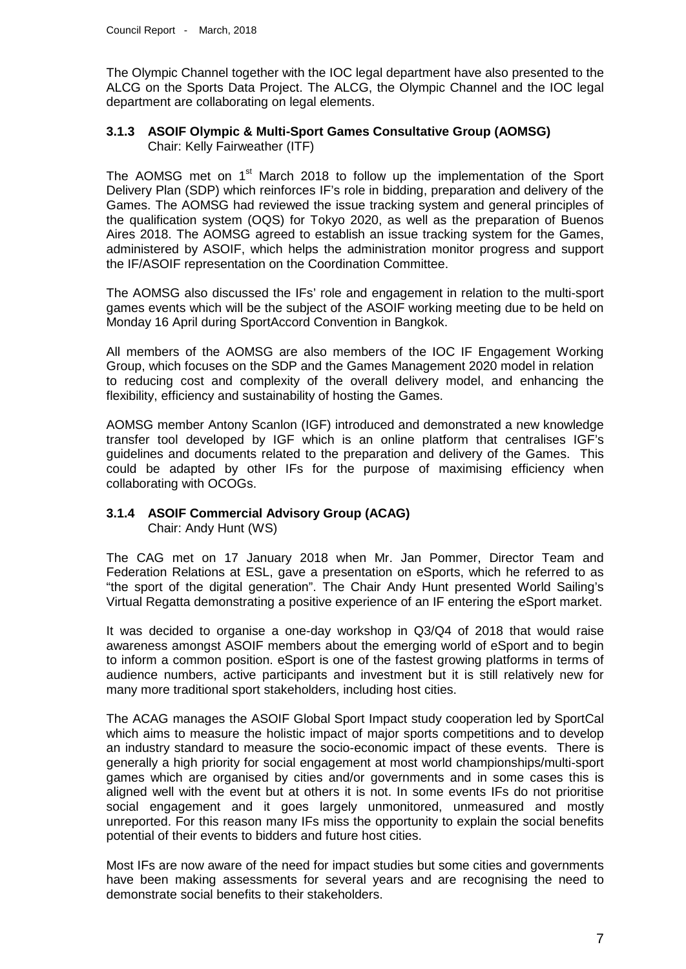The Olympic Channel together with the IOC legal department have also presented to the ALCG on the Sports Data Project. The ALCG, the Olympic Channel and the IOC legal department are collaborating on legal elements.

#### **3.1.3 ASOIF Olympic & Multi-Sport Games Consultative Group (AOMSG)** Chair: Kelly Fairweather (ITF)

The AOMSG met on 1<sup>st</sup> March 2018 to follow up the implementation of the Sport Delivery Plan (SDP) which reinforces IF's role in bidding, preparation and delivery of the Games. The AOMSG had reviewed the issue tracking system and general principles of the qualification system (OQS) for Tokyo 2020, as well as the preparation of Buenos Aires 2018. The AOMSG agreed to establish an issue tracking system for the Games, administered by ASOIF, which helps the administration monitor progress and support the IF/ASOIF representation on the Coordination Committee.

The AOMSG also discussed the IFs' role and engagement in relation to the multi-sport games events which will be the subject of the ASOIF working meeting due to be held on Monday 16 April during SportAccord Convention in Bangkok.

All members of the AOMSG are also members of the IOC IF Engagement Working Group, which focuses on the SDP and the Games Management 2020 model in relation to reducing cost and complexity of the overall delivery model, and enhancing the flexibility, efficiency and sustainability of hosting the Games.

AOMSG member Antony Scanlon (IGF) introduced and demonstrated a new knowledge transfer tool developed by IGF which is an online platform that centralises IGF's guidelines and documents related to the preparation and delivery of the Games. This could be adapted by other IFs for the purpose of maximising efficiency when collaborating with OCOGs.

# **3.1.4 ASOIF Commercial Advisory Group (ACAG)**

Chair: Andy Hunt (WS)

The CAG met on 17 January 2018 when Mr. Jan Pommer, Director Team and Federation Relations at ESL, gave a presentation on eSports, which he referred to as "the sport of the digital generation". The Chair Andy Hunt presented World Sailing's Virtual Regatta demonstrating a positive experience of an IF entering the eSport market.

It was decided to organise a one-day workshop in Q3/Q4 of 2018 that would raise awareness amongst ASOIF members about the emerging world of eSport and to begin to inform a common position. eSport is one of the fastest growing platforms in terms of audience numbers, active participants and investment but it is still relatively new for many more traditional sport stakeholders, including host cities.

The ACAG manages the ASOIF Global Sport Impact study cooperation led by SportCal which aims to measure the holistic impact of major sports competitions and to develop an industry standard to measure the socio-economic impact of these events. There is generally a high priority for social engagement at most world championships/multi-sport games which are organised by cities and/or governments and in some cases this is aligned well with the event but at others it is not. In some events IFs do not prioritise social engagement and it goes largely unmonitored, unmeasured and mostly unreported. For this reason many IFs miss the opportunity to explain the social benefits potential of their events to bidders and future host cities.

Most IFs are now aware of the need for impact studies but some cities and governments have been making assessments for several years and are recognising the need to demonstrate social benefits to their stakeholders.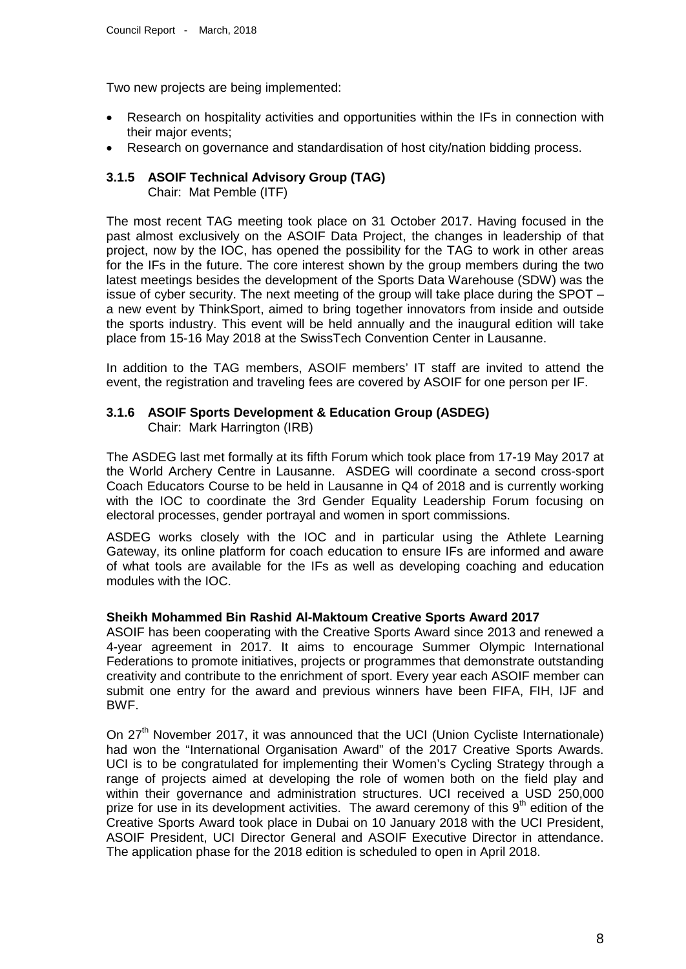Two new projects are being implemented:

- Research on hospitality activities and opportunities within the IFs in connection with their major events;
- Research on governance and standardisation of host city/nation bidding process.

# **3.1.5 ASOIF Technical Advisory Group (TAG)**

Chair: Mat Pemble (ITF)

The most recent TAG meeting took place on 31 October 2017. Having focused in the past almost exclusively on the ASOIF Data Project, the changes in leadership of that project, now by the IOC, has opened the possibility for the TAG to work in other areas for the IFs in the future. The core interest shown by the group members during the two latest meetings besides the development of the Sports Data Warehouse (SDW) was the issue of cyber security. The next meeting of the group will take place during the SPOT – a new event by ThinkSport, aimed to bring together innovators from inside and outside the sports industry. This event will be held annually and the inaugural edition will take place from 15-16 May 2018 at the SwissTech Convention Center in Lausanne.

In addition to the TAG members, ASOIF members' IT staff are invited to attend the event, the registration and traveling fees are covered by ASOIF for one person per IF.

## **3.1.6 ASOIF Sports Development & Education Group (ASDEG)** Chair: Mark Harrington (IRB)

The ASDEG last met formally at its fifth Forum which took place from 17-19 May 2017 at the World Archery Centre in Lausanne. ASDEG will coordinate a second cross-sport Coach Educators Course to be held in Lausanne in Q4 of 2018 and is currently working with the IOC to coordinate the 3rd Gender Equality Leadership Forum focusing on electoral processes, gender portrayal and women in sport commissions.

ASDEG works closely with the IOC and in particular using the Athlete Learning Gateway, its online platform for coach education to ensure IFs are informed and aware of what tools are available for the IFs as well as developing coaching and education modules with the IOC.

#### **Sheikh Mohammed Bin Rashid Al-Maktoum Creative Sports Award 2017**

ASOIF has been cooperating with the Creative Sports Award since 2013 and renewed a 4-year agreement in 2017. It aims to encourage Summer Olympic International Federations to promote initiatives, projects or programmes that demonstrate outstanding creativity and contribute to the enrichment of sport. Every year each ASOIF member can submit one entry for the award and previous winners have been FIFA, FIH, IJF and BWF.

On 27<sup>th</sup> November 2017, it was announced that the UCI (Union Cycliste Internationale) had won the "International Organisation Award" of the 2017 Creative Sports Awards. UCI is to be congratulated for implementing their Women's Cycling Strategy through a range of projects aimed at developing the role of women both on the field play and within their governance and administration structures. UCI received a USD 250,000 prize for use in its development activities. The award ceremony of this 9<sup>th</sup> edition of the Creative Sports Award took place in Dubai on 10 January 2018 with the UCI President, ASOIF President, UCI Director General and ASOIF Executive Director in attendance. The application phase for the 2018 edition is scheduled to open in April 2018.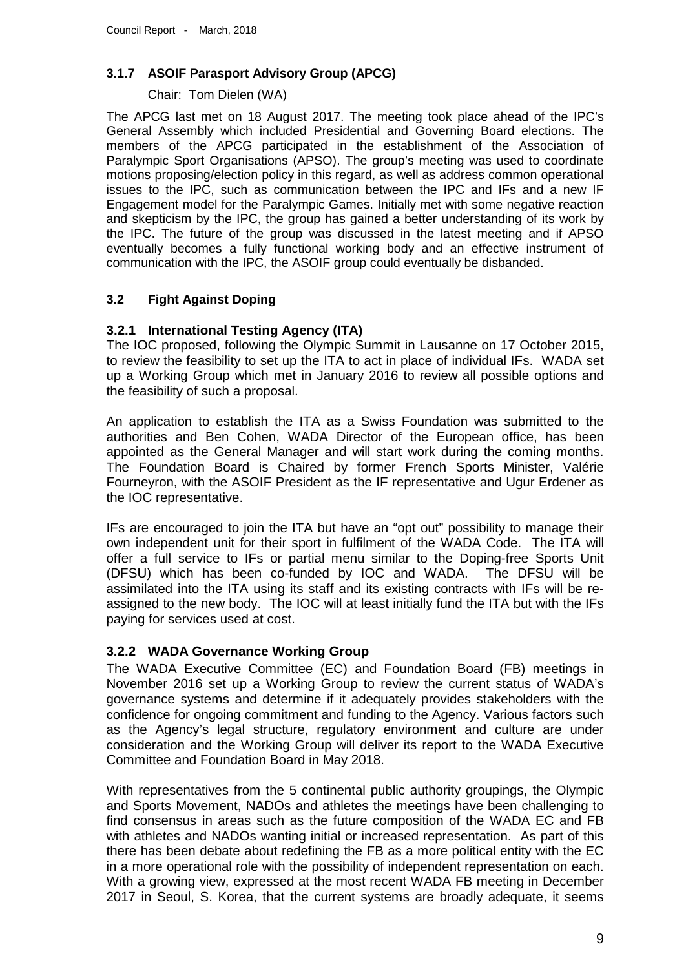# **3.1.7 ASOIF Parasport Advisory Group (APCG)**

# Chair: Tom Dielen (WA)

The APCG last met on 18 August 2017. The meeting took place ahead of the IPC's General Assembly which included Presidential and Governing Board elections. The members of the APCG participated in the establishment of the Association of Paralympic Sport Organisations (APSO). The group's meeting was used to coordinate motions proposing/election policy in this regard, as well as address common operational issues to the IPC, such as communication between the IPC and IFs and a new IF Engagement model for the Paralympic Games. Initially met with some negative reaction and skepticism by the IPC, the group has gained a better understanding of its work by the IPC. The future of the group was discussed in the latest meeting and if APSO eventually becomes a fully functional working body and an effective instrument of communication with the IPC, the ASOIF group could eventually be disbanded.

# **3.2 Fight Against Doping**

# **3.2.1 International Testing Agency (ITA)**

The IOC proposed, following the Olympic Summit in Lausanne on 17 October 2015, to review the feasibility to set up the ITA to act in place of individual IFs. WADA set up a Working Group which met in January 2016 to review all possible options and the feasibility of such a proposal.

An application to establish the ITA as a Swiss Foundation was submitted to the authorities and Ben Cohen, WADA Director of the European office, has been appointed as the General Manager and will start work during the coming months. The Foundation Board is Chaired by former French Sports Minister, Valérie Fourneyron, with the ASOIF President as the IF representative and Ugur Erdener as the IOC representative.

IFs are encouraged to join the ITA but have an "opt out" possibility to manage their own independent unit for their sport in fulfilment of the WADA Code. The ITA will offer a full service to IFs or partial menu similar to the Doping-free Sports Unit (DFSU) which has been co-funded by IOC and WADA. The DFSU will be assimilated into the ITA using its staff and its existing contracts with IFs will be reassigned to the new body. The IOC will at least initially fund the ITA but with the IFs paying for services used at cost.

# **3.2.2 WADA Governance Working Group**

The WADA Executive Committee (EC) and Foundation Board (FB) meetings in November 2016 set up a Working Group to review the current status of WADA's governance systems and determine if it adequately provides stakeholders with the confidence for ongoing commitment and funding to the Agency. Various factors such as the Agency's legal structure, regulatory environment and culture are under consideration and the Working Group will deliver its report to the WADA Executive Committee and Foundation Board in May 2018.

With representatives from the 5 continental public authority groupings, the Olympic and Sports Movement, NADOs and athletes the meetings have been challenging to find consensus in areas such as the future composition of the WADA EC and FB with athletes and NADOs wanting initial or increased representation. As part of this there has been debate about redefining the FB as a more political entity with the EC in a more operational role with the possibility of independent representation on each. With a growing view, expressed at the most recent WADA FB meeting in December 2017 in Seoul, S. Korea, that the current systems are broadly adequate, it seems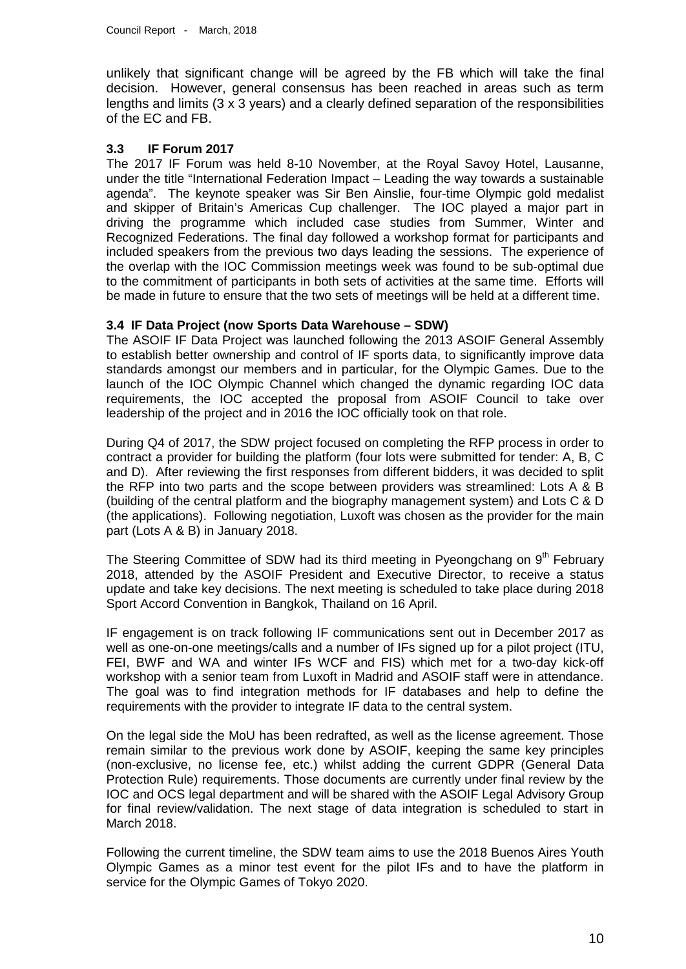unlikely that significant change will be agreed by the FB which will take the final decision. However, general consensus has been reached in areas such as term lengths and limits (3 x 3 years) and a clearly defined separation of the responsibilities of the EC and FB.

## **3.3 IF Forum 2017**

The 2017 IF Forum was held 8-10 November, at the Royal Savoy Hotel, Lausanne, under the title "International Federation Impact – Leading the way towards a sustainable agenda". The keynote speaker was Sir Ben Ainslie, four-time Olympic gold medalist and skipper of Britain's Americas Cup challenger. The IOC played a major part in driving the programme which included case studies from Summer, Winter and Recognized Federations. The final day followed a workshop format for participants and included speakers from the previous two days leading the sessions. The experience of the overlap with the IOC Commission meetings week was found to be sub-optimal due to the commitment of participants in both sets of activities at the same time. Efforts will be made in future to ensure that the two sets of meetings will be held at a different time.

## **3.4 IF Data Project (now Sports Data Warehouse – SDW)**

The ASOIF IF Data Project was launched following the 2013 ASOIF General Assembly to establish better ownership and control of IF sports data, to significantly improve data standards amongst our members and in particular, for the Olympic Games. Due to the launch of the IOC Olympic Channel which changed the dynamic regarding IOC data requirements, the IOC accepted the proposal from ASOIF Council to take over leadership of the project and in 2016 the IOC officially took on that role.

During Q4 of 2017, the SDW project focused on completing the RFP process in order to contract a provider for building the platform (four lots were submitted for tender: A, B, C and D). After reviewing the first responses from different bidders, it was decided to split the RFP into two parts and the scope between providers was streamlined: Lots A & B (building of the central platform and the biography management system) and Lots C & D (the applications). Following negotiation, Luxoft was chosen as the provider for the main part (Lots A & B) in January 2018.

The Steering Committee of SDW had its third meeting in Pyeongchang on  $9<sup>th</sup>$  February 2018, attended by the ASOIF President and Executive Director, to receive a status update and take key decisions. The next meeting is scheduled to take place during 2018 Sport Accord Convention in Bangkok, Thailand on 16 April.

IF engagement is on track following IF communications sent out in December 2017 as well as one-on-one meetings/calls and a number of IFs signed up for a pilot project (ITU, FEI, BWF and WA and winter IFs WCF and FIS) which met for a two-day kick-off workshop with a senior team from Luxoft in Madrid and ASOIF staff were in attendance. The goal was to find integration methods for IF databases and help to define the requirements with the provider to integrate IF data to the central system.

On the legal side the MoU has been redrafted, as well as the license agreement. Those remain similar to the previous work done by ASOIF, keeping the same key principles (non-exclusive, no license fee, etc.) whilst adding the current GDPR (General Data Protection Rule) requirements. Those documents are currently under final review by the IOC and OCS legal department and will be shared with the ASOIF Legal Advisory Group for final review/validation. The next stage of data integration is scheduled to start in March 2018.

Following the current timeline, the SDW team aims to use the 2018 Buenos Aires Youth Olympic Games as a minor test event for the pilot IFs and to have the platform in service for the Olympic Games of Tokyo 2020.